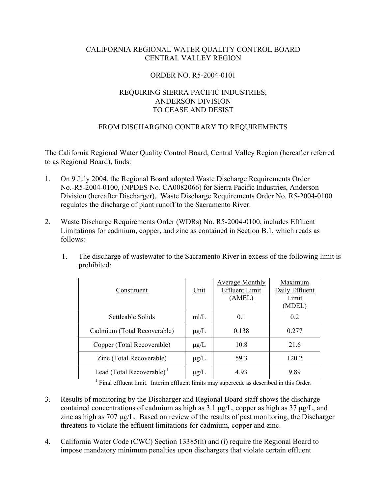### CALIFORNIA REGIONAL WATER QUALITY CONTROL BOARD CENTRAL VALLEY REGION

#### ORDER NO. R5-2004-0101

# REQUIRING SIERRA PACIFIC INDUSTRIES, ANDERSON DIVISION TO CEASE AND DESIST

### FROM DISCHARGING CONTRARY TO REQUIREMENTS

The California Regional Water Quality Control Board, Central Valley Region (hereafter referred to as Regional Board), finds:

- 1. On 9 July 2004, the Regional Board adopted Waste Discharge Requirements Order No.-R5-2004-0100, (NPDES No. CA0082066) for Sierra Pacific Industries, Anderson Division (hereafter Discharger). Waste Discharge Requirements Order No. R5-2004-0100 regulates the discharge of plant runoff to the Sacramento River.
- 2. Waste Discharge Requirements Order (WDRs) No. R5-2004-0100, includes Effluent Limitations for cadmium, copper, and zinc as contained in Section B.1, which reads as follows:
	- 1. The discharge of wastewater to the Sacramento River in excess of the following limit is prohibited:

| Constituent                           | Unit      | <b>Average Monthly</b><br><b>Effluent Limit</b><br>(AMEL) | Maximum<br>Daily Effluent<br>Limit<br>MDEL |
|---------------------------------------|-----------|-----------------------------------------------------------|--------------------------------------------|
| Settleable Solids                     | mI/L      | 0.1                                                       | 0 <sub>2</sub>                             |
| Cadmium (Total Recoverable)           | $\mu$ g/L | 0.138                                                     | 0.277                                      |
| Copper (Total Recoverable)            | $\mu$ g/L | 10.8                                                      | 21.6                                       |
| Zinc (Total Recoverable)              | $\mu$ g/L | 59.3                                                      | 120.2                                      |
| Lead (Total Recoverable) <sup>1</sup> | $\mu$ g/L | 4.93                                                      | 989                                        |

 $<sup>1</sup>$  Final effluent limit. Interim effluent limits may supercede as described in this Order.</sup>

- 3. Results of monitoring by the Discharger and Regional Board staff shows the discharge contained concentrations of cadmium as high as 3.1 µg/L, copper as high as 37 µg/L, and zinc as high as 707 µg/L. Based on review of the results of past monitoring, the Discharger threatens to violate the effluent limitations for cadmium, copper and zinc.
- 4. California Water Code (CWC) Section 13385(h) and (i) require the Regional Board to impose mandatory minimum penalties upon dischargers that violate certain effluent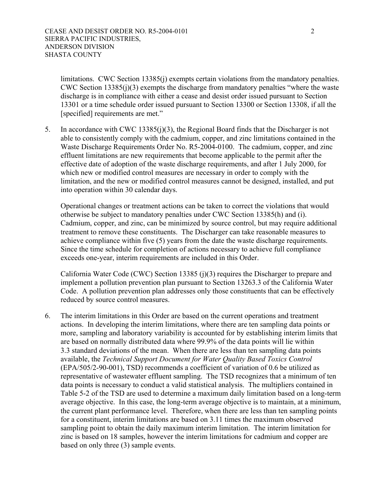limitations. CWC Section 13385(j) exempts certain violations from the mandatory penalties. CWC Section 13385(j)(3) exempts the discharge from mandatory penalties "where the waste discharge is in compliance with either a cease and desist order issued pursuant to Section 13301 or a time schedule order issued pursuant to Section 13300 or Section 13308, if all the [specified] requirements are met."

5. In accordance with CWC 13385(j)(3), the Regional Board finds that the Discharger is not able to consistently comply with the cadmium, copper, and zinc limitations contained in the Waste Discharge Requirements Order No. R5-2004-0100. The cadmium, copper, and zinc effluent limitations are new requirements that become applicable to the permit after the effective date of adoption of the waste discharge requirements, and after 1 July 2000, for which new or modified control measures are necessary in order to comply with the limitation, and the new or modified control measures cannot be designed, installed, and put into operation within 30 calendar days.

Operational changes or treatment actions can be taken to correct the violations that would otherwise be subject to mandatory penalties under CWC Section 13385(h) and (i). Cadmium, copper, and zinc, can be minimized by source control, but may require additional treatment to remove these constituents. The Discharger can take reasonable measures to achieve compliance within five (5) years from the date the waste discharge requirements. Since the time schedule for completion of actions necessary to achieve full compliance exceeds one-year, interim requirements are included in this Order.

California Water Code (CWC) Section 13385 (j)(3) requires the Discharger to prepare and implement a pollution prevention plan pursuant to Section 13263.3 of the California Water Code. A pollution prevention plan addresses only those constituents that can be effectively reduced by source control measures.

6. The interim limitations in this Order are based on the current operations and treatment actions. In developing the interim limitations, where there are ten sampling data points or more, sampling and laboratory variability is accounted for by establishing interim limits that are based on normally distributed data where 99.9% of the data points will lie within 3.3 standard deviations of the mean. When there are less than ten sampling data points available, the *Technical Support Document for Water Quality Based Toxics Control* (EPA/505/2-90-001), TSD) recommends a coefficient of variation of 0.6 be utilized as representative of wastewater effluent sampling. The TSD recognizes that a minimum of ten data points is necessary to conduct a valid statistical analysis. The multipliers contained in Table 5-2 of the TSD are used to determine a maximum daily limitation based on a long-term average objective. In this case, the long-term average objective is to maintain, at a minimum, the current plant performance level. Therefore, when there are less than ten sampling points for a constituent, interim limitations are based on 3.11 times the maximum observed sampling point to obtain the daily maximum interim limitation. The interim limitation for zinc is based on 18 samples, however the interim limitations for cadmium and copper are based on only three (3) sample events.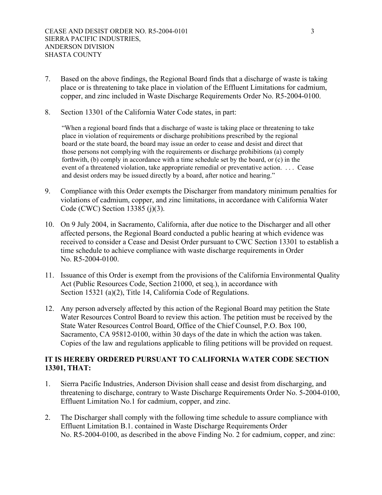- 7. Based on the above findings, the Regional Board finds that a discharge of waste is taking place or is threatening to take place in violation of the Effluent Limitations for cadmium, copper, and zinc included in Waste Discharge Requirements Order No. R5-2004-0100.
- 8. Section 13301 of the California Water Code states, in part:

"When a regional board finds that a discharge of waste is taking place or threatening to take place in violation of requirements or discharge prohibitions prescribed by the regional board or the state board, the board may issue an order to cease and desist and direct that those persons not complying with the requirements or discharge prohibitions (a) comply forthwith, (b) comply in accordance with a time schedule set by the board, or (c) in the event of a threatened violation, take appropriate remedial or preventative action. . . . Cease and desist orders may be issued directly by a board, after notice and hearing."

- 9. Compliance with this Order exempts the Discharger from mandatory minimum penalties for violations of cadmium, copper, and zinc limitations, in accordance with California Water Code (CWC) Section 13385 (j)(3).
- 10. On 9 July 2004, in Sacramento, California, after due notice to the Discharger and all other affected persons, the Regional Board conducted a public hearing at which evidence was received to consider a Cease and Desist Order pursuant to CWC Section 13301 to establish a time schedule to achieve compliance with waste discharge requirements in Order No. R5-2004-0100.
- 11. Issuance of this Order is exempt from the provisions of the California Environmental Quality Act (Public Resources Code, Section 21000, et seq.), in accordance with Section 15321 (a)(2), Title 14, California Code of Regulations.
- 12. Any person adversely affected by this action of the Regional Board may petition the State Water Resources Control Board to review this action. The petition must be received by the State Water Resources Control Board, Office of the Chief Counsel, P.O. Box 100, Sacramento, CA 95812-0100, within 30 days of the date in which the action was taken. Copies of the law and regulations applicable to filing petitions will be provided on request.

# **IT IS HEREBY ORDERED PURSUANT TO CALIFORNIA WATER CODE SECTION 13301, THAT:**

- 1. Sierra Pacific Industries, Anderson Division shall cease and desist from discharging, and threatening to discharge, contrary to Waste Discharge Requirements Order No. 5-2004-0100, Effluent Limitation No.1 for cadmium, copper, and zinc.
- 2. The Discharger shall comply with the following time schedule to assure compliance with Effluent Limitation B.1. contained in Waste Discharge Requirements Order No. R5-2004-0100, as described in the above Finding No. 2 for cadmium, copper, and zinc: